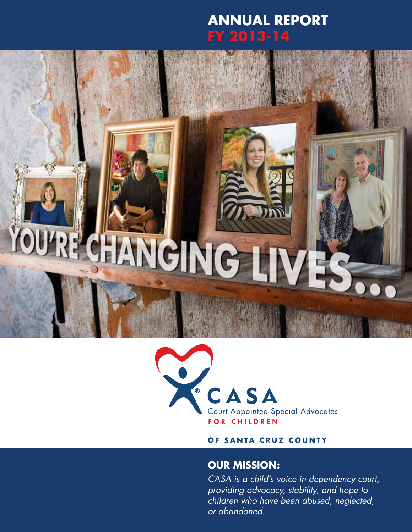### **annual report FY 2013-14**

# RECHANGING



#### OF SANTA CRUZ COUNTY

### **Our mission:**

*CASA is a child's voice in dependency court, providing advocacy, stability, and hope to children who have been abused, neglected, or abandoned.*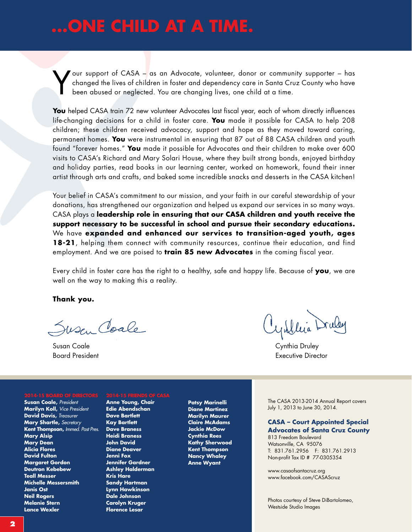### **...one child at a time.**

Your support of CASA – as an Advocate, volunteer, donor or community supporter – has changed the lives of children in foster and dependency care in Santa Cruz County who have been abused or neglected. You are changing live changed the lives of children in foster and dependency care in Santa Cruz County who have been abused or neglected. You are changing lives, one child at a time.

**You** helped CASA train 72 new volunteer Advocates last fiscal year, each of whom directly influences life-changing decisions for a child in foster care. **You** made it possible for CASA to help 208 children; these children received advocacy, support and hope as they moved toward caring, permanent homes. **You** were instrumental in ensuring that 87 out of 88 CASA children and youth found "forever homes." **You** made it possible for Advocates and their children to make over 600 visits to CASA's Richard and Mary Solari House, where they built strong bonds, enjoyed birthday and holiday parties, read books in our learning center, worked on homework, found their inner artist through arts and crafts, and baked some incredible snacks and desserts in the CASA kitchen!

Your belief in CASA's commitment to our mission, and your faith in our careful stewardship of your donations, has strengthened our organization and helped us expand our services in so many ways. CASA plays a **leadership role in ensuring that our CASA children and youth receive the support necessary to be successful in school and pursue their secondary educations.** We have **expanded and enhanced our services to transition-aged youth, ages 18-21**, helping them connect with community resources, continue their education, and find employment. And we are poised to **train 85 new Advocates** in the coming fiscal year.

Every child in foster care has the right to a healthy, safe and happy life. Because of **you**, we are well on the way to making this a reality.

**Thank you.**

Susen Coale

Susan Coale Cynthia Druley

**Susan Coale,** *President* **Marilyn Koll,** *Vice President* **David Davis,** *Treasurer* **Mary Shartle,** *Secretary* **Kent Thompson,** *Immed. Past Pres.* **Mary Alsip Mary Dean Alicia Flores David Fulton Margaret Gordon Deutron Kebebew Teall Messer Michelle Messersmith Janis Ost Neil Rogers Melanie Stern Lance Wexler**

**Anne Young, Chair Edie Abendschan Dave Bartlett Kay Bartlett Dave Braness Heidi Braness John David Diane Deaver Jenni Fox Jennifer Gardner Ashley Halderman Kris Hare Sandy Hartman Lynn Hawkinson Dale Johnson Carolyn Kruger Florence Lesar**

**Patsy Marinelli Diane Martinez Marilyn Maurer Claire McAdams Jackie McDow Cynthia Rees Kathy Sherwood Kent Thompson Nancy Whaley Anne Wyant**

Board President Executive Director

The CASA 2013-2014 Annual Report covers July 1, 2013 to June 30, 2014.

**CASA – Court Appointed Special Advocates of Santa Cruz County**

813 Freedom Boulevard Watsonville, CA 95076 T: 831.761.2956 F: 831.761.2913 Non-profit Tax ID # 77-0305354

www.casaofsantacruz.org www.facebook.com/CASAScruz

Photos courtesy of Steve DiBartolomeo, Westside Studio Images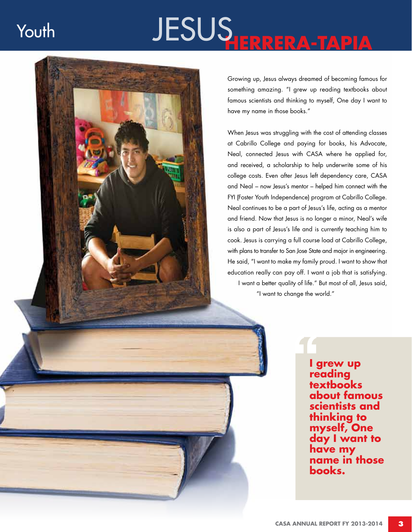### Youth

# **HERRERA -TAPIA** JESUS



Growing up, Jesus always dreamed of becoming famous for something amazing. "I grew up reading textbooks about famous scientists and thinking to myself, One day I want to have my name in those books."

When Jesus was struggling with the cost of attending classes at Cabrillo College and paying for books, his Advocate, Neal, connected Jesus with CASA where he applied for, and received, a scholarship to help underwrite some of his college costs. Even after Jesus left dependency care, CASA and Neal – now Jesus's mentor – helped him connect with the FYI (Foster Youth Independence) program at Cabrillo College. Neal continues to be a part of Jesus's life, acting as a mentor and friend. Now that Jesus is no longer a minor, Neal's wife is also a part of Jesus's life and is currently teaching him to cook. Jesus is carrying a full course load at Cabrillo College, with plans to transfer to San Jose State and major in engineering. He said, "I want to make my family proud. I want to show that education really can pay off. I want a job that is satisfying. I want a better quality of life." But most of all, Jesus said, "I want to change the world."

> **I grew up reading textbooks about famous scientists and thinking to myself, One day I want to have my name in those books.**<br>**books.**<br>**books.**<br>**books.**<br>**books.**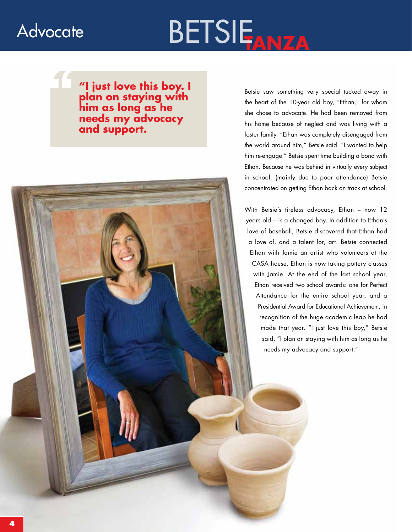### **Advocate**

## BETSIE

**1997 The Mathematical Strain of Strain Strain in the Mathematical Strain in the Mathems of Strain Inc. The Mathems of Strain Inc. The Mathems of Strain Inc. In the Mathems of Strain Inc. In the Mathems of Strain Inc. In t plan on staying with him as long as he needs my advocacy and support.**

Betsie saw something very special tucked away in the heart of the 10-year old boy, "Ethan," for whom she chose to advocate. He had been removed from his home because of neglect and was living with a foster family. "Ethan was completely disengaged from the world around him," Betsie said. "I wanted to help him re-engage." Betsie spent time building a bond with Ethan. Because he was behind in virtually every subject in school, (mainly due to poor attendance) Betsie concentrated on getting Ethan back on track at school.

With Betsie's tireless advocacy, Ethan – now 12 years old – is a changed boy. In addition to Ethan's love of baseball, Betsie discovered that Ethan had a love of, and a talent for, art. Betsie connected Ethan with Jamie an artist who volunteers at the CASA house. Ethan is now taking pottery classes with Jamie. At the end of the last school year, Ethan received two school awards: one for Perfect Attendance for the entire school year, and a Presidential Award for Educational Achievement, in recognition of the huge academic leap he had made that year. "I just love this boy," Betsie said. "I plan on staying with him as long as he needs my advocacy and support."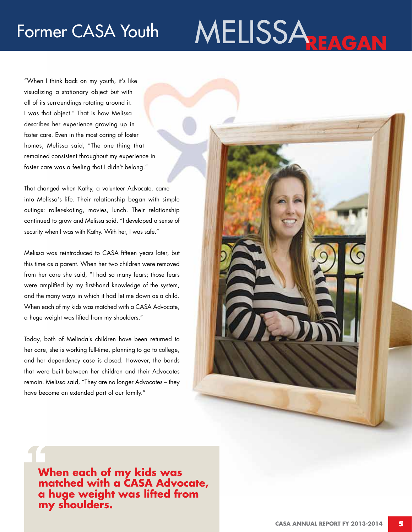### Former CASA Youth

# MELISSA**REAGAN**

"When I think back on my youth, it's like visualizing a stationary object but with all of its surroundings rotating around it. I was that object." That is how Melissa describes her experience growing up in foster care. Even in the most caring of foster homes, Melissa said, "The one thing that remained consistent throughout my experience in foster care was a feeling that I didn't belong."

That changed when Kathy, a volunteer Advocate, came into Melissa's life. Their relationship began with simple outings: roller-skating, movies, lunch. Their relationship continued to grow and Melissa said, "I developed a sense of security when I was with Kathy. With her, I was safe."

Melissa was reintroduced to CASA fifteen years later, but this time as a parent. When her two children were removed from her care she said, "I had so many fears; those fears were amplified by my first-hand knowledge of the system, and the many ways in which it had let me down as a child. When each of my kids was matched with a CASA Advocate, a huge weight was lifted from my shoulders."

Today, both of Melinda's children have been returned to her care, she is working full-time, planning to go to college, and her dependency case is closed. However, the bonds that were built between her children and their Advocates remain. Melissa said, "They are no longer Advocates – they have become an extended part of our family."



"<br>""<br>a **When each of my kids was matched with a CASA Advocate, a huge weight was lifted from my shoulders.**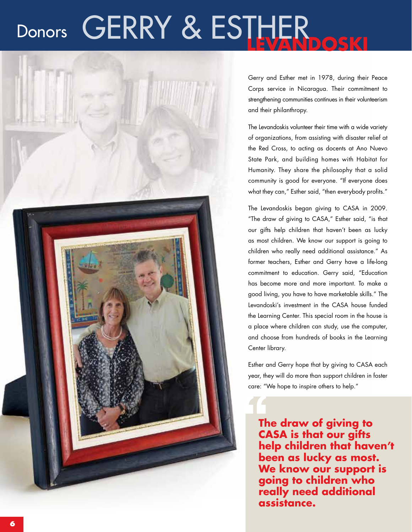### **CERRY & ESTHER DOSKI** Donors



Gerry and Esther met in 1978, during their Peace Corps service in Nicaragua. Their commitment to strengthening communities continues in their volunteerism and their philanthropy.

The Levandoskis volunteer their time with a wide variety of organizations, from assisting with disaster relief at the Red Cross, to acting as docents at Ano Nuevo State Park, and building homes with Habitat for Humanity. They share the philosophy that a solid community is good for everyone. "If everyone does what they can," Esther said, "then everybody profits."

The Levandoskis began giving to CASA in 2009. "The draw of giving to CASA," Esther said, "is that our gifts help children that haven't been as lucky as most children. We know our support is going to children who really need additional assistance." As former teachers, Esther and Gerry have a life-long commitment to education. Gerry said, "Education has become more and more important. To make a good living, you have to have marketable skills." The Levandoski's investment in the CASA house funded the Learning Center. This special room in the house is a place where children can study, use the computer, and choose from hundreds of books in the Learning Center library.

Esther and Gerry hope that by giving to CASA each year, they will do more than support children in foster care: "We hope to inspire others to help."

**The draw of giving to CASA is that our gifts help children that haven't been as lucky as most. We know our support is going to children who really need additional and weight the draw of CASA is the help children as luck**<br>been as luck<br>we know of going to cheally need assistance.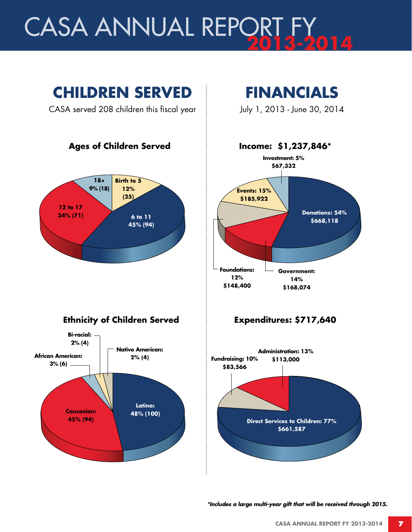# **CASA ANNUAL REPORT F**



*\*Includes a large multi-year gift that will be received through 2015.*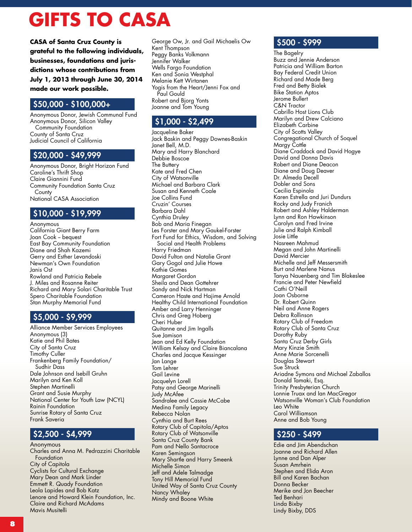### **GIFTS TO CASA**

**CASA of Santa Cruz County is grateful to the following individuals, businesses, foundations and jurisdictions whose contributions from July 1, 2013 through June 30, 2014 made our work possible.**

### \$50,000 - \$100,000+

Anonymous Donor, Jewish Communal Fund Anonymous Donor, Silicon Valley Community Foundation County of Santa Cruz Judicial Council of California

#### \$20,000 - \$49,999

Anonymous Donor, Bright Horizon Fund Caroline's Thrift Shop Claire Giannini Fund Community Foundation Santa Cruz **County** National CASA Association

#### \$10,000 - \$19,999

Anonymous California Giant Berry Farm Joan Cook -- bequest East Bay Community Foundation Diane and Shah Kazemi Gerry and Esther Levandoski Newman's Own Foundation Janis Ost Rowland and Patricia Rebele J. Miles and Rosanne Reiter Richard and Mary Solari Charitable Trust Spero Charitable Foundation Stan Murphy Memorial Fund

### \$5,000 - \$9,999

Alliance Member Services Employees Anonymous (3) Katie and Phil Bates City of Santa Cruz Timothy Culler Frankenberg Family Foundation/ Sudhir Dass Dale Johnson and Isebill Gruhn Marilyn and Ken Koll Stephen Martinelli Grant and Susie Murphy National Center for Youth Law (NCYL) Rainin Foundation Sunrise Rotary of Santa Cruz Frank Saveria

### \$2,500 - \$4,999

Anonymous Charles and Anna M. Pedrazzini Charitable Foundation City of Capitola Cyclists for Cultural Exchange Mary Dean and Mark Linder Emmett R. Quady Foundation Leola Lapides and Bob Katz Lenore and Howard Klein Foundation, Inc. Claire and Richard McAdams Mavis Musitelli

George Ow, Jr. and Gail Michaelis Ow Kent Thompson Peggy Banks Volkmann Jennifer Walker Wells Fargo Foundation Ken and Sonia Westphal Melanie Kett Wirtanen Yogis from the Heart/Jenni Fox and Paul Gould Robert and Bjorg Yonts Joanne and Tom Young

### \$1,000 - \$2,499

Jacqueline Baker Jack Baskin and Peggy Downes-Baskin Janet Bell, M.D. Mary and Harry Blanchard Debbie Boscoe The Buttery Kate and Fred Chen City of Watsonville Michael and Barbara Clark Susan and Kenneth Coale Joe Collins Fund Cruzin' Courses Barbara Dahl Cynthia Druley Bob and Maria Finegan Les Forster and Mary Gaukel-Forster Fort Fund for Ethics, Wisdom, and Solving Social and Health Problems Harry Friedman David Fulton and Natalie Grant Gary Gogol and Julie Howe Kathie Gomes Margaret Gordon Sheila and Dean Gottehrer Sandy and Nick Hartman Cameron Haste and Hajime Arnold Healthy Child International Foundation Amber and Larry Henninger Chris and Greg Hoberg Cheri Huber Quitanne and Jim Ingalls Sue Jamison Jean and Ed Kelly Foundation William Kelsay and Claire Biancalana Charles and Jacque Kessinger Jan Lange Tom Lehrer Gail Levine Jacquelyn Lorell Patsy and George Marinelli Judy McAfee Sandralee and Cassie McCabe Medina Family Legacy Rebecca Nolan Cynthia and Burt Rees Rotary Club of Capitola/Aptos Rotary Club of Watsonville Santa Cruz County Bank Pam and Nello Santacroce Karen Semingson Mary Shartle and Harry Smeenk Michelle Simon Jeff and Adele Talmadge Tony Hill Memorial Fund United Way of Santa Cruz County Nancy Whaley Mindy and Boone White

#### \$500 - \$999

The Bagelry Buzz and Jennie Anderson Patricia and William Barton Bay Federal Credit Union Richard and Made Berg Fred and Betty Bialek Bike Station Aptos Jerome Bullert C&N Tractor Cabrillo Host Lions Club Marilyn and Drew Calciano Elizabeth Carbine City of Scotts Valley Congregational Church of Soquel Margy Cottle Diane Craddock and David Hogye David and Donna Davis Robert and Diane Deacon Diane and Doug Deaver Dr. Almeda Decell Dobler and Sons Cecilia Espinola Karen Estrella and Juri Dundurs Rocky and Judy Franich Robert and Ashley Halderman Lynn and Ron Hawkinson Carolyn and Fred Irvine Julie and Ralph Kimball Josie Little Nasreen Mahmud Megan and John Martinelli David Mercier Michelle and Jeff Messersmith Burt and Marlene Nanus Tanya Nauenberg and Tim Blakeslee Francie and Peter Newfield Cathi O'Neill Joan Osborne Dr. Robert Quinn Neil and Anne Rogers Debra Rollinson Rotary Club of Freedom Rotary Club of Santa Cruz Dorothy Ruby Santa Cruz Derby Girls Mary Kinzie Smith Anne Marie Sorcenelli Douglas Stewart Sue Struck Ariadne Symons and Michael Zaballos Donald Tamaki, Esq. Trinity Presbyterian Church Lonnie Truax and Ian MacGregor Watsonville Woman's Club Foundation Leo White Carol Williamson Anne and Bob Young

### \$250 - \$499

Edie and Jim Abendschan Joanne and Richard Allen Lynne and Dan Alper Susan Amrhein Stephen and Elida Aron Bill and Karen Bachan Donna Becker Merike and Jon Beecher Ted Benhari Linda Bixby Lindy Bixby, DDS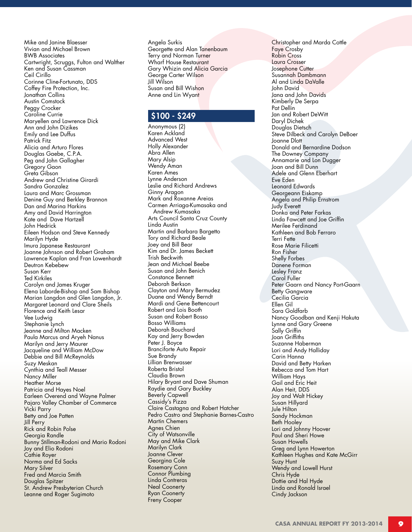Mike and Janine Blaesser Vivian and Michael Brown BWB Associates Cartwright, Scruggs, Fulton and Walther Ken and Susan Cassman Ceil Cirillo Corinne Cline-Fortunato, DDS Coffey Fire Protection, Inc. Jonathan Collins Austin Comstock Peggy Crocker Caroline Currie Maryellen and Lawrence Dick Ann and John Dizikes Emily and Lee Duffus Patrick Fitz Alicia and Arturo Flores Douglas Gaebe, C.P.A. Peg and John Gallagher Gregory Gaon Greta Gibson Andrew and Christine Girardi Sandra Gonzalez Laura and Marc Grossman Denine Guy and Berkley Brannon Dan and Marina Harkins Amy and David Harrington Kate and Dave Hartzell John Hedrick Eileen Hodson and Steve Kennedy Marilyn Hyde Imura Japanese Restaurant Joanne Johnson and Robert Graham Lawrence Kaplan and Fran Lowenhardt Deutron Kebebew Susan Kerr Ted Kirkiles Carolyn and James Kruger Elena Laborde-Bishop and Sam Bishop Marian Langdon and Glen Langdon, Jr. Margaret Leonard and Clare Sheils Florence and Keith Lesar Vee Ludwig Stephanie Lynch Jeanne and Milton Macken Paula Marcus and Aryeh Nanus Marilyn and Jerry Maurer Jacqueline and William McDow Debbie and Bill McReynolds Suzy Meskan Cynthia and Teall Messer Nancy Miller Heather Morse Patricia and Hayes Noel Earleen Overend and Wayne Palmer Pajaro Valley Chamber of Commerce Vicki Parry Betty and Joe Patten Jill Perry Rick and Robin Polse Georgia Randle Bunny Stillman-Rodoni and Mario Rodoni Joy and Elio Rodoni Cathie Royer Norma and Ed Sacks Mary Silver Fred and Marcia Smith Douglas Spitzer St. Andrew Presbyterian Church Leanne and Roger Sugimoto

Angela Surkis Georgette and Alan Tanenbaum Terry and Norman Tu<mark>rner</mark> Wharf House Restaurant Gary Whizin and Alicia Garcia George Carter Wilson Jill Wilson Susan and Bill Wishon Anne and Lin Wyant

#### \$100 - \$249

Anonymous (2) Karen Ackland Advanced West Holly Alexander Abra Allen Mary Alsip Wendy Aman Karen Ames Lynne Anderson Leslie and Richard Andrews Ginny Aragon Mark and Roxanne Areias Carmen Arriaga-Kumasaka and Andrew Kumasaka Arts Council Santa Cruz County Linda Austin Martin and Barbara Bargetto Tory and Richard Beale Joey and Bill Bear Kim and Dr. James Beckett Trish Beckwith Jean and Michael Beebe Susan and John Benich Constance Bennett Deborah Berkson Clayton and Mary Bermudez Duane and Wendy Berndt Mardi and Gene Bettencourt Robert and Lois Booth Susan and Robert Bosso Bosso Williams Deborah Bouchard Kay and Jerry Bowden Peter J. Boyce Branciforte Auto Repair Sue Brandy Lillian Brenwasser Roberta Bristol Claudia Brown Hilary Bryant and Dave Shuman Raydie and Gary Buckley Beverly Capwell Cassidy's Pizza Claire Castagna and Robert Hatcher Pedro Castro and Stephanie Barnes-Castro Martin Chemers Agnes Chien City of Watsonville May and Mike Clark Marilyn Clark Joanne Clever Georgina Cole Rosemary Conn Connor Plumbing Linda Contreras Neal Coonerty Ryan Coonerty Freny Cooper

Christopher and Marda Cottle Faye Crosby Robin Cross Laura Crosser Josephone Cutter Susannah Dambmann Al and Linda DaValle John David Jana and John Davids Kimberly De Serpa Pat Dellin Jan and Robert DeWitt Daryl Dichek Douglas Dietsch Steve Dilbeck and Carolyn DeBoer Joanne Dlott Donald and Bernardine Dodson The Downey Company Annamarie and Lon Dugger Joan and Bill Dunn Adele and Glenn Eberhart Eve Eden Leonard Edwards Georgeann Eiskamp Angela and Philip Ernstrom Judy Everett Donka and Peter Farkas Linda Fawcett and Joe Griffin Merilee Ferdinand Kathleen and Bob Ferraro Terri Fette Rose Marie Filicetti Ron Fisher Shelly Forbes Danene Forman Lesley Franz Carol Fuller Peter Gaarn and Nancy Port-Gaarn Betty Gangware Cecilia Garcia Ellen Gil Sara Goldfarb Nancy Goodban and Kenji Hakuta Lynne and Gary Greene Sally Griffin Joan Griffiths Suzanne Haberman Lori and Andy Halliday Carin Hanna David and Betty Harken Rebecca and Tom Hart William Hays Gail and Eric Heit Alan Heit, DDS Joy and Walt Hickey Susan Hillyard Jule Hilton Sandy Hockman Beth Hooley Lori and Johnny Hoover Paul and Sheri Howe Susan Howells Greg and Lynn Howerton Kathleen Hughes and Kate McGirr Suzy Hunt Wendy and Lowell Hurst Chris Hyde Dottie and Hal Hyde Linda and Ronald Israel Cindy Jackson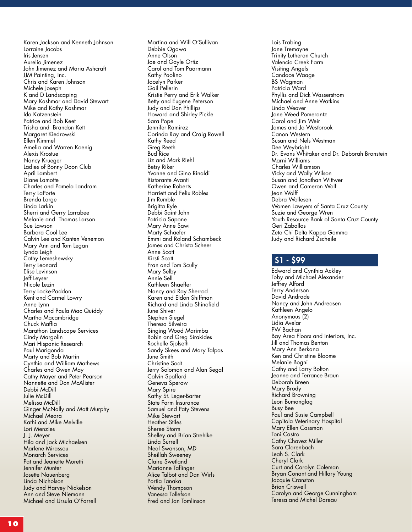Karen Jackson and Kenneth Johnson Lorraine Jacobs Iris Jensen Aurelio Jimenez John Jimenez and Maria Ashcraft JJM Painting, Inc. Chris and Karen Johnson Michele Joseph K and D Landscaping Mary Kashmar and David Stewart Mike and Kathy Kashmar Ida Katzenstein Patrice and Bob Keet Trisha and Brandon Kett Margaret Kiedrowski Ellen Kimmel Amelia and Warren Koenig Alexis Krostue Nancy Krueger Ladies of Bonny Doon Club April Lambert Diane Lamotte Charles and Pamela Landram Terry LaPorte Brenda Large Linda Larkin Sherri and Gerry Larrabee Melanie and Thomas Larson Sue Lawson Barbara Cool Lee Calvin Lee and Kanten Venemon Mary Ann and Tom Legan Lynda Leigh Cathy Lemeshewsky Terry Leonard Elise Levinson Jeff Leyser Nicole Lezin Terry Locke-Paddon Kent and Carmel Lowry Anne Lynn Charles and Paula Mac Quiddy Martha Macambridge Chuck Maffia Marathon Landscape Services Cindy Margolin Mari Hispanic Research Paul Marigonda Marty and Bob Martin Cynthia and William Mathews Charles and Gwen May Cathy Mayer and Peter Pearson Nannette and Don McAlister Debbi McDill Julie McDill Melissa McDill Ginger McNally and Matt Murphy Michael Meara Kathi and Mike Melville Lori Menzies J. J. Meyer Hila and Jack Michaelsen Marlene Mirassou Monarch Services Pat and Jeanette Moretti Jennifer Munter Josette Nauenberg Linda Nicholson Judy and Harvey Nickelson Ann and Steve Niemann Michael and Ursula O'Farrell

Martina and Will O'Sullivan Debbie Ogawa Anne Olson Joe and Gayle Ortiz Carol and Tom Paarmann Kathy Paolino Jocelyn Parker Gail Pellerin Kristie Perry and Erik Walker Betty and Eugene Peterson Judy and Dan Phillips Howard and Shirley Pickle Sara Pope Jennifer Ramirez Corinda Ray and Craig Rowell Kathy Reed Greg Reeth Bud Rice Liz and Mark Riehl Betsy Riker Yvonne and Gino Rinaldi Ristorante Avanti Katherine Roberts Harriett and Felix Robles Jim Rumble Brigitta Ryle Debbi Saint John Patricia Sapone Mary Anne Sawi Marty Schaefer Emmi and Roland Schambeck James and Christa Scheer Anne Scott Kirsti Scott Fran and Tom Scully Mary Selby Annie Sell Kathleen Shaeffer Nancy and Ray Sherrod Karen and Eldon Shiffman Richard and Linda Shinofield June Shiver Stephen Siegel Theresa Silveira Singing Wood Marimba Robin and Greg Sirakides Rochelle Sjolseth Sandy Skees and Mary Talpas June Smith Christine Sodt Jerry Solomon and Alan Segal Calvin Spafford Geneva Sperow Mary Spire Kathy St. Leger-Barter State Farm Insurance Samuel and Paty Stevens Mike Stewart Heather Stiles Sheree Storm Shelley and Brian Strehlke Linda Surrell Neal Swanson, MD Sheillah Sweeney Claire Swetland Marianne Taflinger Alice Talbot and Dan Wirls Portia Tanaka Wendy Thompson Vanessa Tollefson Fred and Jan Tomlinson

Lois Trabing Jane Tremayne Trinity Lutheran Church Valencia Creek Farm Visiting Angels Candace Waage BS Wagman Patricia Ward Phyllis and Dick Wasserstrom Michael and Anne Watkins Linda Weaver Jane Weed Pomerantz Carol and Jim Weir James and Jo Westbrook Canon Western Susan and Nels Westman Dee Weybright Dr. Evans Whitaker and Dr. Deborah Bronstein Marni Williams Charles Williamson Vicky and Wally Wilson Susan and Jonathan Wittwer Owen and Cameron Wolf Jean Wolff Debra Wollesen Women Lawyers of Santa Cruz County Suzie and George Wren Youth Resource Bank of Santa Cruz County Geri Zaballos Zeta Chi Delta Kappa Gamma Judy and Richard Zscheile

#### \$1 - \$99

Edward and Cynthia Ackley Toby and Michael Alexander Jeffrey Alford Terry Anderson David Andrade Nancy and John Andreasen Kathleen Angelo Anonymous (2) Lidia Avelar PW Bachan Bay Area Floors and Interiors, Inc. Jill and Thomas Benton Mary Ann Berkana Ken and Christine Bloome Melanie Bogni Cathy and Larry Bolton Jeanne and Terrance Braun Deborah Breen Mary Brody Richard Browning Leon Bumanglag Busy Bee Paul and Susie Campbell Capitola Veterinary Hospital Mary Ellen Cassman Toni Castro Cathy Chavez Miller Sara Clarenbach Leah S. Clark Cheryl Clark Curt and Carolyn Coleman Bryan Conant and Hillary Young Jacquie Cranston Brian Criswell Carolyn and George Cunningham Teresa and Michel Dareau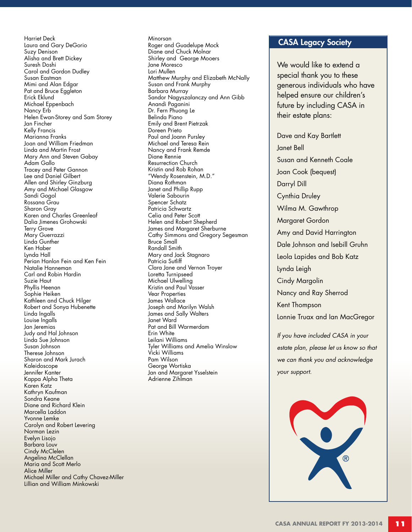Harriet Deck Laura and Gary DeGorio Suzy Denison Alisha and Brett Dickey Suresh Doshi Carol and Gordon Dudley Susan Eastman Mimi and Alan Edgar Pat and Bruce Eggleton Erick Eklund Michael Eppenbach Nancy Erb Helen Ewan-Storey and Sam Storey Jan Fincher Kelly Francis Marianna Franks Joan and William Friedman Linda and Martin Frost Mary Ann and Steven Gabay Adam Gallo Tracey and Peter Gannon Lee and Daniel Gilbert Allen and Shirley Ginzburg Amy and Michael Glasgow Sandi Gogol Rossana Grau Sharon Gray Karen and Charles Greenleaf Dalia Jimenes Grohowski Terry Grove Mary Guerrazzi Linda Gunther Ken Haber Lynda Hall Perian Hanlon Fein and Ken Fein Natalie Hanneman Carl and Robin Hardin Suzie Haut Phyllis Heenan Sophie Heiken Kathleen and Chuck Hilger Robert and Sonya Hubenette Linda Ingalls Louise Ingalls Jan Jeremias Judy and Hal Johnson Linda Sue Johnson Susan Johnson Therese Johnson Sharon and Mark Jurach Kaleidoscope Jennifer Kanter Kappa Alpha Theta Karen Katz Kathryn Kaufman Sondra Keane Diane and Richard Klein Marcella Laddon Yvonne Lemke Carolyn and Robert Levering Norman Lezin Evelyn Lisojo Barbara Louv Cindy McClelen Angelina McClellan Maria and Scott Merlo Alice Miller Michael Miller and Cathy Chavez-Miller Lillian and William Minkowski

Minorsan Roger and Guadelupe Mock Diane and Chuck Molnar Shirley and George Mooers Jane Moresco Lori Mullen Matthew Murphy and Elizabeth McNally Susan and Frank Murphy Barbara Murray Sandor Nagyszalanczy and Ann Gibb Anandi Paganini Dr. Fern Phuong Le Belinda Piano Emily and Brent Pietrzak Doreen Prieto Paul and Joann Pursley Michael and Teresa Rein Nancy and Frank Remde Diane Rennie Resurrection Church Kristin and Rob Rohan "Wendy Rosenstein, M.D." Diana Rothman Janet and Phillip Rupp Valerie Sabourin Spencer Schatz Patricia Schwartz Celia and Peter Scott Helen and Robert Shepherd James and Margaret Sherburne Cathy Simmons and Gregory Segesman Bruce Small Randall Smith Mary and Jack Stagnaro Patricia Sutliff Clara Jane and Vernon Troyer Loretta Turnipseed Michael Ulwelling Kristin and Paul Vasser Vear Properties James Wallace Joseph and Marilyn Walsh James and Sally Walters Janet Ward Pat and Bill Warmerdam Erin White Leilani Williams Tyler Williams and Amelia Winslow Vicki Williams Pam Wilson George Wortiska Jan and Margaret Ysselstein Adrienne Zihlman

#### CASA Legacy Society

We would like to extend a special thank you to these generous individuals who have helped ensure our children's future by including CASA in their estate plans:

Dave and Kay Bartlett Janet Bell Susan and Kenneth Coale Joan Cook (bequest) Darryl Dill Cynthia Druley Wilma M. Gawthrop Margaret Gordon Amy and David Harrington Dale Johnson and Isebill Gruhn Leola Lapides and Bob Katz Lynda Leigh Cindy Margolin Nancy and Ray Sherrod Kent Thompson Lonnie Truax and Ian MacGregor

*If you have included CASA in your estate plan, please let us know so that we can thank you and acknowledge your support.*

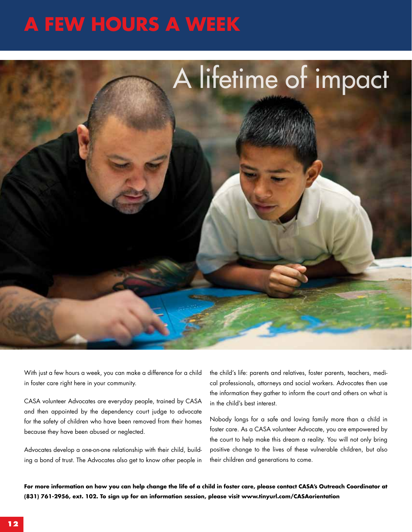### **A few hours a week**



With just a few hours a week, you can make a difference for a child in foster care right here in your community.

CASA volunteer Advocates are everyday people, trained by CASA and then appointed by the dependency court judge to advocate for the safety of children who have been removed from their homes because they have been abused or neglected.

Advocates develop a one-on-one relationship with their child, building a bond of trust. The Advocates also get to know other people in

the child's life: parents and relatives, foster parents, teachers, medical professionals, attorneys and social workers. Advocates then use the information they gather to inform the court and others on what is in the child's best interest.

Nobody longs for a safe and loving family more than a child in foster care. As a CASA volunteer Advocate, you are empowered by the court to help make this dream a reality. You will not only bring positive change to the lives of these vulnerable children, but also their children and generations to come.

**For more information on how you can help change the life of a child in foster care, please contact CASA's Outreach Coordinator at (831) 761-2956, ext. 102. To sign up for an information session, please visit www.tinyurl.com/CASAorientation**